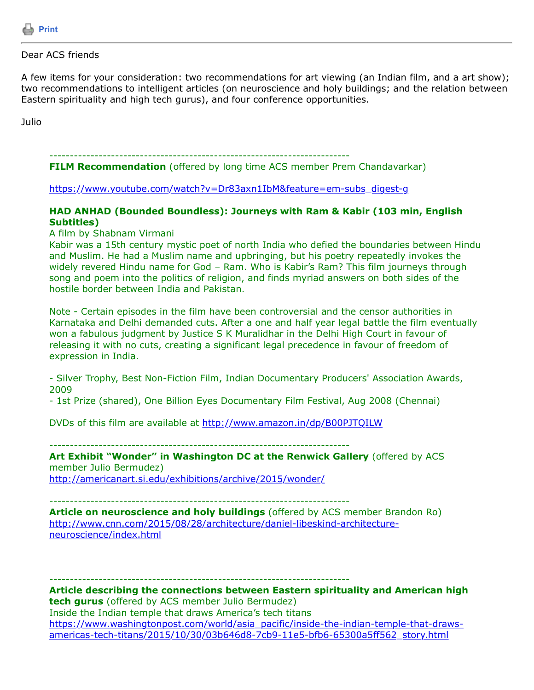

## Dear ACS friends

A few items for your consideration: two recommendations for art viewing (an Indian film, and a art show); two recommendations to intelligent articles (on neuroscience and holy buildings; and the relation between Eastern spirituality and high tech gurus), and four conference opportunities.

Julio

-------------------------------------------------------------------------

**FILM Recommendation** (offered by long time ACS member Prem Chandavarkar)

[https://www.youtube.com/watch?v=Dr83axn1IbM&feature=em-subs\\_digest-g](https://www.youtube.com/watch?v=Dr83axn1IbM&feature=em-subs_digest-g)

## **HAD ANHAD (Bounded Boundless): Journeys with Ram & Kabir (103 min, English Subtitles)**

A film by Shabnam Virmani

Kabir was a 15th century mystic poet of north India who defied the boundaries between Hindu and Muslim. He had a Muslim name and upbringing, but his poetry repeatedly invokes the widely revered Hindu name for God – Ram. Who is Kabir's Ram? This film journeys through song and poem into the politics of religion, and finds myriad answers on both sides of the hostile border between India and Pakistan.

Note - Certain episodes in the film have been controversial and the censor authorities in Karnataka and Delhi demanded cuts. After a one and half year legal battle the film eventually won a fabulous judgment by Justice S K Muralidhar in the Delhi High Court in favour of releasing it with no cuts, creating a significant legal precedence in favour of freedom of expression in India.

- Silver Trophy, Best Non-Fiction Film, Indian Documentary Producers' Association Awards, 2009

- 1st Prize (shared), One Billion Eyes Documentary Film Festival, Aug 2008 (Chennai)

DVDs of this film are available at<http://www.amazon.in/dp/B00PJTQILW>

-------------------------------------------------------------------------

**Art Exhibit "Wonder" in Washington DC at the Renwick Gallery** (offered by ACS member Julio Bermudez)

<http://americanart.si.edu/exhibitions/archive/2015/wonder/>

-------------------------------------------------------------------------

**Article on neuroscience and holy buildings** (offered by ACS member Brandon Ro) [http://www.cnn.com/2015/08/28/architecture/daniel-libeskind-architecture](http://www.cnn.com/2015/08/28/architecture/daniel-libeskind-architecture-neuroscience/index.html)neuroscience/index.html

-------------------------------------------------------------------------

**Article describing the connections between Eastern spirituality and American high tech gurus** (offered by ACS member Julio Bermudez) Inside the Indian temple that draws America's tech titans [https://www.washingtonpost.com/world/asia\\_pacific/inside-the-indian-temple-that-draws-](https://www.washingtonpost.com/world/asia_pacific/inside-the-indian-temple-that-draws-americas-tech-titans/2015/10/30/03b646d8-7cb9-11e5-bfb6-65300a5ff562_story.html)

americas-tech-titans/2015/10/30/03b646d8-7cb9-11e5-bfb6-65300a5ff562\_story.html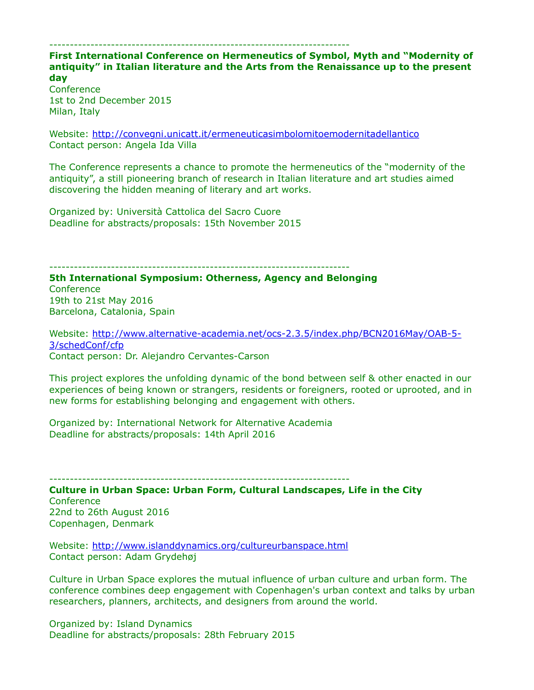## -------------------------------------------------------------------------

**First International Conference on Hermeneutics of Symbol, Myth and "Modernity of antiquity" in Italian literature and the Arts from the Renaissance up to the present day**

**Conference** 1st to 2nd December 2015 Milan, Italy

Website: <http://convegni.unicatt.it/ermeneuticasimbolomitoemodernitadellantico> Contact person: Angela Ida Villa

The Conference represents a chance to promote the hermeneutics of the "modernity of the antiquity", a still pioneering branch of research in Italian literature and art studies aimed discovering the hidden meaning of literary and art works.

Organized by: Università Cattolica del Sacro Cuore Deadline for abstracts/proposals: 15th November 2015

-------------------------------------------------------------------------

**5th International Symposium: Otherness, Agency and Belonging Conference** 19th to 21st May 2016 Barcelona, Catalonia, Spain

[Website: http://www.alternative-academia.net/ocs-2.3.5/index.php/BCN2016May/OAB-5-](http://www.alternative-academia.net/ocs-2.3.5/index.php/BCN2016May/OAB-5-3/schedConf/cfp) 3/schedConf/cfp Contact person: Dr. Alejandro Cervantes-Carson

This project explores the unfolding dynamic of the bond between self & other enacted in our experiences of being known or strangers, residents or foreigners, rooted or uprooted, and in new forms for establishing belonging and engagement with others.

Organized by: International Network for Alternative Academia Deadline for abstracts/proposals: 14th April 2016

-------------------------------------------------------------------------

**Culture in Urban Space: Urban Form, Cultural Landscapes, Life in the City Conference** 22nd to 26th August 2016 Copenhagen, Denmark

Website: <http://www.islanddynamics.org/cultureurbanspace.html> Contact person: Adam Grydehøj

Culture in Urban Space explores the mutual influence of urban culture and urban form. The conference combines deep engagement with Copenhagen's urban context and talks by urban researchers, planners, architects, and designers from around the world.

Organized by: Island Dynamics Deadline for abstracts/proposals: 28th February 2015